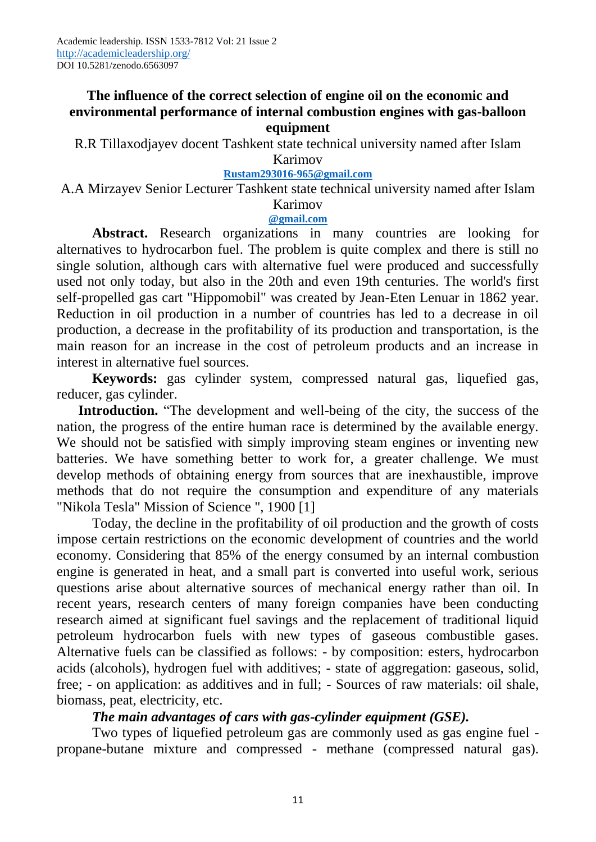# **The influence of the correct selection of engine oil on the economic and environmental performance of internal combustion engines with gas-balloon equipment**

R.R Tillaxodjayev docent Tashkent state technical university named after Islam Karimov

## **Rustam293016-96[5@gmail.com](mailto:rustam29031965@gmail.com)**

A.A Mirzayev Senior Lecturer Tashkent state technical university named after Islam Karimov

### **@gmail.com**

**Abstract.** Research organizations in many countries are looking for alternatives to hydrocarbon fuel. The problem is quite complex and there is still no single solution, although cars with alternative fuel were produced and successfully used not only today, but also in the 20th and even 19th centuries. The world's first self-propelled gas cart "Hippomobil" was created by Jean-Eten Lenuar in 1862 year. Reduction in oil production in a number of countries has led to a decrease in oil production, a decrease in the profitability of its production and transportation, is the main reason for an increase in the cost of petroleum products and an increase in interest in alternative fuel sources.

**Keywords:** gas cylinder system, compressed natural gas, liquefied gas, reducer, gas cylinder.

Introduction. "The development and well-being of the city, the success of the nation, the progress of the entire human race is determined by the available energy. We should not be satisfied with simply improving steam engines or inventing new batteries. We have something better to work for, a greater challenge. We must develop methods of obtaining energy from sources that are inexhaustible, improve methods that do not require the consumption and expenditure of any materials "Nikola Tesla" Mission of Science ", 1900 [1]

Today, the decline in the profitability of oil production and the growth of costs impose certain restrictions on the economic development of countries and the world economy. Considering that 85% of the energy consumed by an internal combustion engine is generated in heat, and a small part is converted into useful work, serious questions arise about alternative sources of mechanical energy rather than oil. In recent years, research centers of many foreign companies have been conducting research aimed at significant fuel savings and the replacement of traditional liquid petroleum hydrocarbon fuels with new types of gaseous combustible gases. Alternative fuels can be classified as follows: - by composition: esters, hydrocarbon acids (alcohols), hydrogen fuel with additives; - state of aggregation: gaseous, solid, free; - on application: as additives and in full; - Sources of raw materials: oil shale, biomass, peat, electricity, etc.

## *The main advantages of cars with gas-cylinder equipment (GSE).*

Two types of liquefied petroleum gas are commonly used as gas engine fuel propane-butane mixture and compressed - methane (compressed natural gas).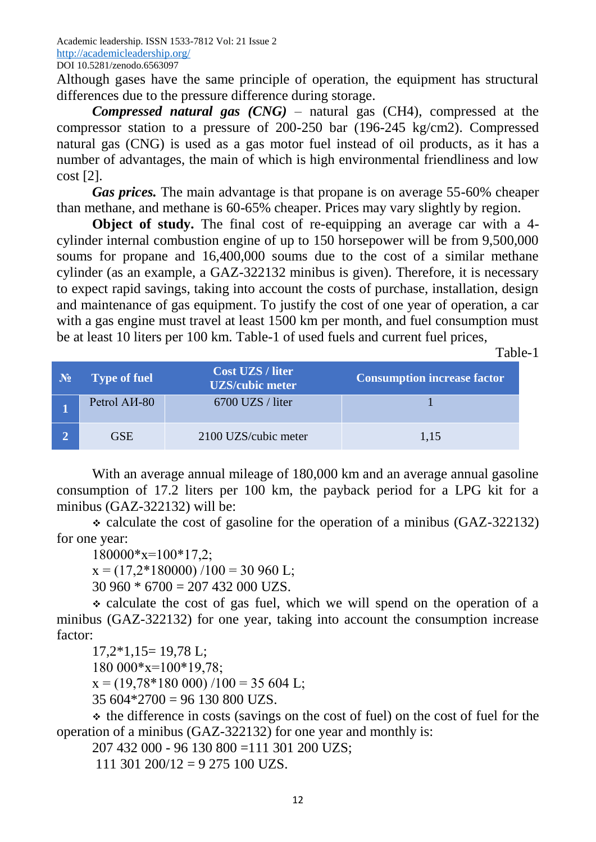Academic leadership. ISSN 1533-7812 Vol: 21 Issue 2 <http://academicleadership.org/> DOI 10.5281/zenodo.6563097

Although gases have the same principle of operation, the equipment has structural differences due to the pressure difference during storage.

*Compressed natural gas (CNG)* – natural gas (CH4), compressed at the compressor station to a pressure of 200-250 bar (196-245 kg/cm2). Compressed natural gas (CNG) is used as a gas motor fuel instead of oil products, as it has a number of advantages, the main of which is high environmental friendliness and low cost [2].

*Gas prices.* The main advantage is that propane is on average 55-60% cheaper than methane, and methane is 60-65% cheaper. Prices may vary slightly by region.

**Object of study.** The final cost of re-equipping an average car with a 4cylinder internal combustion engine of up to 150 horsepower will be from 9,500,000 soums for propane and 16,400,000 soums due to the cost of a similar methane cylinder (as an example, a GAZ-322132 minibus is given). Therefore, it is necessary to expect rapid savings, taking into account the costs of purchase, installation, design and maintenance of gas equipment. To justify the cost of one year of operation, a car with a gas engine must travel at least 1500 km per month, and fuel consumption must be at least 10 liters per 100 km. Table-1 of used fuels and current fuel prices,

Table-1

| $N_2$ | <b>Type of fuel</b>             | <b>Cost UZS / liter</b><br><b>UZS/cubic meter</b> | <b>Consumption increase factor</b> |
|-------|---------------------------------|---------------------------------------------------|------------------------------------|
|       | Petrol A <sub><i>H</i>-80</sub> | 6700 UZS / liter                                  |                                    |
|       | GSE                             | 2100 UZS/cubic meter                              | 1,15                               |

With an average annual mileage of 180,000 km and an average annual gasoline consumption of 17.2 liters per 100 km, the payback period for a LPG kit for a minibus (GAZ-322132) will be:

 calculate the cost of gasoline for the operation of a minibus (GAZ-322132) for one year:

 $180000*$ x=100\*17,2;

 $x = (17,2*180000) / 100 = 30960$  L;

 $30\,960 * 6700 = 207\,432\,000\,UZS$ .

 $\div$  calculate the cost of gas fuel, which we will spend on the operation of a minibus (GAZ-322132) for one year, taking into account the consumption increase factor:

17,2\*1,15= 19,78 L; 180 000\*х=100\*19,78;  $x = (19,78*180,000) / 100 = 35,604$  L;  $35604*2700 = 96130800$  UZS.

 $\div$  the difference in costs (savings on the cost of fuel) on the cost of fuel for the operation of a minibus (GAZ-322132) for one year and monthly is:

207 432 000 - 96 130 800 =111 301 200 UZS;

111 301 200/12 = 9 275 100 UZS.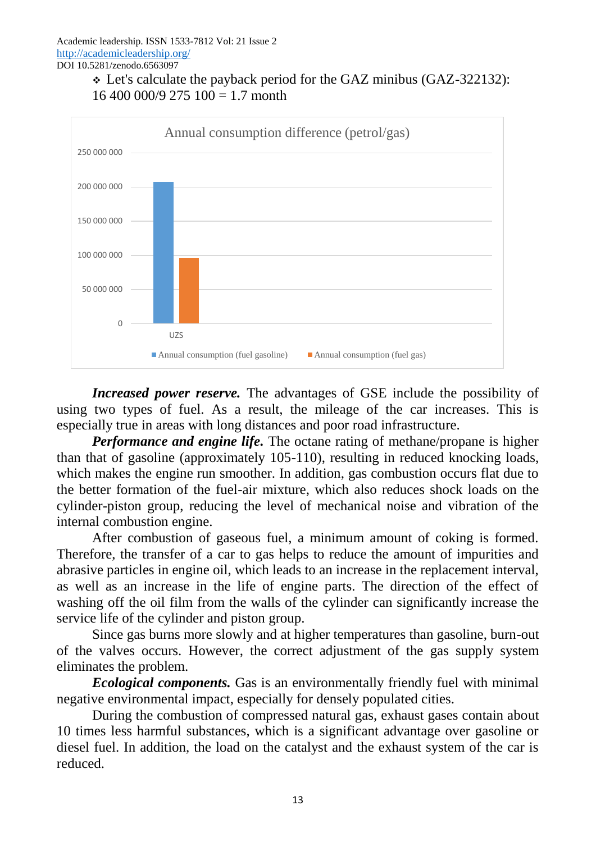



*Increased power reserve.* The advantages of GSE include the possibility of using two types of fuel. As a result, the mileage of the car increases. This is especially true in areas with long distances and poor road infrastructure.

*Performance and engine life.* The octane rating of methane/propane is higher than that of gasoline (approximately 105-110), resulting in reduced knocking loads, which makes the engine run smoother. In addition, gas combustion occurs flat due to the better formation of the fuel-air mixture, which also reduces shock loads on the cylinder-piston group, reducing the level of mechanical noise and vibration of the internal combustion engine.

After combustion of gaseous fuel, a minimum amount of coking is formed. Therefore, the transfer of a car to gas helps to reduce the amount of impurities and abrasive particles in engine oil, which leads to an increase in the replacement interval, as well as an increase in the life of engine parts. The direction of the effect of washing off the oil film from the walls of the cylinder can significantly increase the service life of the cylinder and piston group.

Since gas burns more slowly and at higher temperatures than gasoline, burn-out of the valves occurs. However, the correct adjustment of the gas supply system eliminates the problem.

*Ecological components.* Gas is an environmentally friendly fuel with minimal negative environmental impact, especially for densely populated cities.

During the combustion of compressed natural gas, exhaust gases contain about 10 times less harmful substances, which is a significant advantage over gasoline or diesel fuel. In addition, the load on the catalyst and the exhaust system of the car is reduced.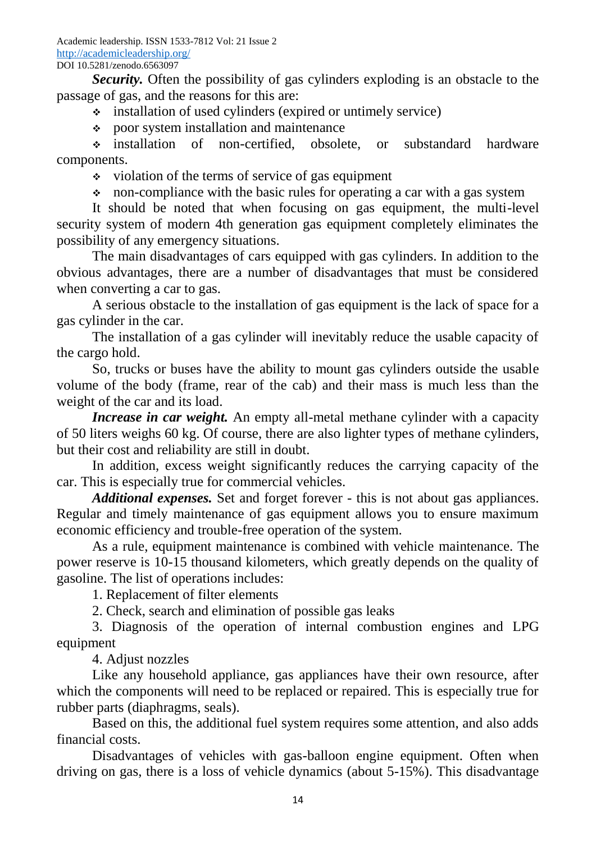*Security.* Often the possibility of gas cylinders exploding is an obstacle to the passage of gas, and the reasons for this are:

installation of used cylinders (expired or untimely service)

poor system installation and maintenance

 installation of non-certified, obsolete, or substandard hardware components.

 $\cdot$  violation of the terms of service of gas equipment

non-compliance with the basic rules for operating a car with a gas system

It should be noted that when focusing on gas equipment, the multi-level security system of modern 4th generation gas equipment completely eliminates the possibility of any emergency situations.

The main disadvantages of cars equipped with gas cylinders. In addition to the obvious advantages, there are a number of disadvantages that must be considered when converting a car to gas.

A serious obstacle to the installation of gas equipment is the lack of space for a gas cylinder in the car.

The installation of a gas cylinder will inevitably reduce the usable capacity of the cargo hold.

So, trucks or buses have the ability to mount gas cylinders outside the usable volume of the body (frame, rear of the cab) and their mass is much less than the weight of the car and its load.

*Increase in car weight.* An empty all-metal methane cylinder with a capacity of 50 liters weighs 60 kg. Of course, there are also lighter types of methane cylinders, but their cost and reliability are still in doubt.

In addition, excess weight significantly reduces the carrying capacity of the car. This is especially true for commercial vehicles.

*Additional expenses.* Set and forget forever - this is not about gas appliances. Regular and timely maintenance of gas equipment allows you to ensure maximum economic efficiency and trouble-free operation of the system.

As a rule, equipment maintenance is combined with vehicle maintenance. The power reserve is 10-15 thousand kilometers, which greatly depends on the quality of gasoline. The list of operations includes:

1. Replacement of filter elements

2. Check, search and elimination of possible gas leaks

3. Diagnosis of the operation of internal combustion engines and LPG equipment

4. Adjust nozzles

Like any household appliance, gas appliances have their own resource, after which the components will need to be replaced or repaired. This is especially true for rubber parts (diaphragms, seals).

Based on this, the additional fuel system requires some attention, and also adds financial costs.

Disadvantages of vehicles with gas-balloon engine equipment. Often when driving on gas, there is a loss of vehicle dynamics (about 5-15%). This disadvantage